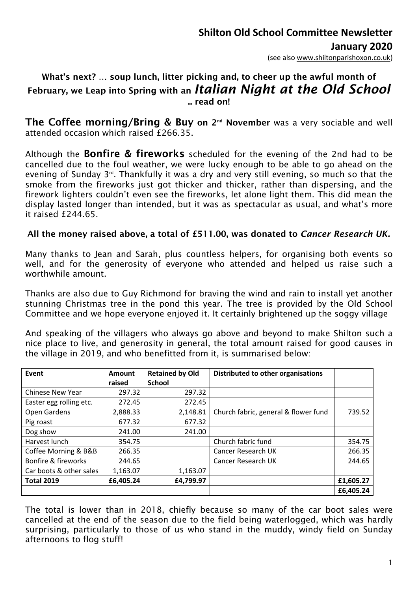(see also [www.shiltonparishoxon.co.uk\)](http://www.shiltonparishoxon.co.uk/)

### What's next? … soup lunch, litter picking and, to cheer up the awful month of February, we Leap into Spring with an *Italian Night at the Old School* .. read on!

The Coffee morning/Bring & Buy on 2<sup>nd</sup> November was a very sociable and well attended occasion which raised £266.35.

Although the Bonfire & fireworks scheduled for the evening of the 2nd had to be cancelled due to the foul weather, we were lucky enough to be able to go ahead on the evening of Sunday 3<sup>rd</sup>. Thankfully it was a dry and very still evening, so much so that the smoke from the fireworks just got thicker and thicker, rather than dispersing, and the firework lighters couldn't even see the fireworks, let alone light them. This did mean the display lasted longer than intended, but it was as spectacular as usual, and what's more it raised £244.65.

#### All the money raised above, a total of £511.00, was donated to *Cancer Research UK.*

Many thanks to Jean and Sarah, plus countless helpers, for organising both events so well, and for the generosity of everyone who attended and helped us raise such a worthwhile amount.

Thanks are also due to Guy Richmond for braving the wind and rain to install yet another stunning Christmas tree in the pond this year. The tree is provided by the Old School Committee and we hope everyone enjoyed it. It certainly brightened up the soggy village

And speaking of the villagers who always go above and beyond to make Shilton such a nice place to live, and generosity in general, the total amount raised for good causes in the village in 2019, and who benefitted from it, is summarised below:

| Event                   | <b>Amount</b><br>raised | <b>Retained by Old</b><br><b>School</b> | Distributed to other organisations   |           |
|-------------------------|-------------------------|-----------------------------------------|--------------------------------------|-----------|
|                         |                         |                                         |                                      |           |
| <b>Chinese New Year</b> | 297.32                  | 297.32                                  |                                      |           |
| Easter egg rolling etc. | 272.45                  | 272.45                                  |                                      |           |
| Open Gardens            | 2,888.33                | 2,148.81                                | Church fabric, general & flower fund | 739.52    |
| Pig roast               | 677.32                  | 677.32                                  |                                      |           |
| Dog show                | 241.00                  | 241.00                                  |                                      |           |
| Harvest lunch           | 354.75                  |                                         | Church fabric fund                   | 354.75    |
| Coffee Morning & B&B    | 266.35                  |                                         | Cancer Research UK                   | 266.35    |
| Bonfire & fireworks     | 244.65                  |                                         | Cancer Research UK                   | 244.65    |
| Car boots & other sales | 1,163.07                | 1,163.07                                |                                      |           |
| <b>Total 2019</b>       | £6,405.24               | £4,799.97                               |                                      | £1,605.27 |
|                         |                         |                                         |                                      | £6,405.24 |

The total is lower than in 2018, chiefly because so many of the car boot sales were cancelled at the end of the season due to the field being waterlogged, which was hardly surprising, particularly to those of us who stand in the muddy, windy field on Sunday afternoons to flog stuff!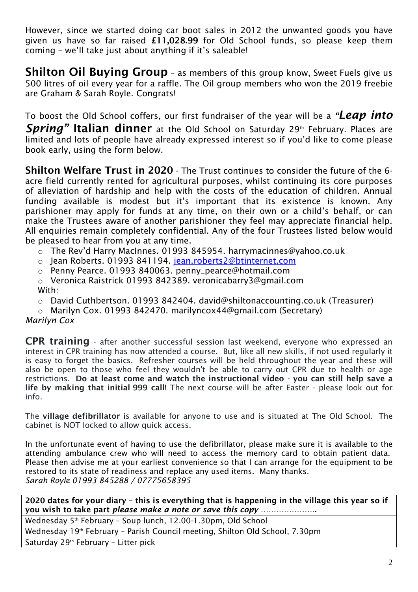However, since we started doing car boot sales in 2012 the unwanted goods you have given us have so far raised £11,028.99 for Old School funds, so please keep them coming – we'll take just about anything if it's saleable!

Shilton Oil Buving Group - as members of this group know, Sweet Fuels give us 500 litres of oil every year for a raffle. The Oil group members who won the 2019 freebie are Graham & Sarah Royle. Congrats!

To boost the Old School coffers, our first fundraiser of the year will be a *"Leap into*  **Spring**" Italian dinner at the Old School on Saturday 29<sup>th</sup> February. Places are limited and lots of people have already expressed interest so if you'd like to come please book early, using the form below.

Shilton Welfare Trust in 2020 - The Trust continues to consider the future of the 6 acre field currently rented for agricultural purposes, whilst continuing its core purposes of alleviation of hardship and help with the costs of the education of children. Annual funding available is modest but it's important that its existence is known. Any parishioner may apply for funds at any time, on their own or a child's behalf, or can make the Trustees aware of another parishioner they feel may appreciate financial help. All enquiries remain completely confidential. Any of the four Trustees listed below would be pleased to hear from you at any time.

- o The Rev'd Harry MacInnes. 01993 845954. [harrymacinnes@yahoo.co.uk](mailto:harrymacinnes@yahoo.co.uk)
- o Jean Roberts. 01993 841194. [jean.roberts2@btinternet.com](mailto:jean.roberts2@btinternet.com)
- o Penny Pearce. 01993 840063. [penny\\_pearce@hotmail.com](mailto:penny_pearce@hotmail.com)
- o Veronica Raistrick 01993 842389. [veronicabarry3@gmail.com](mailto:veronicabarry3@gmail.com) With:
- o David Cuthbertson. 01993 842404. [david@shiltonaccounting.co.uk](mailto:david@shiltonaccounting.co.uk) (Treasurer)
- o Marilyn Cox. 01993 842470. [marilyncox44@gmail.com](mailto:marilyncox44@gmail.com) (Secretary)

#### *Marilyn Cox*

**CPR training** - after another successful session last weekend, everyone who expressed an interest in CPR training has now attended a course. But, like all new skills, if not used regularly it is easy to forget the basics. Refresher courses will be held throughout the year and these will also be open to those who feel they wouldn't be able to carry out CPR due to health or age restrictions. Do at least come and watch the instructional video - you can still help save a life by making that initial 999 call! The next course will be after Easter - please look out for info.

The village defibrillator is available for anyone to use and is situated at The Old School. The cabinet is NOT locked to allow quick access.

In the unfortunate event of having to use the defibrillator, please make sure it is available to the attending ambulance crew who will need to access the memory card to obtain patient data. Please then advise me at your earliest convenience so that I can arrange for the equipment to be restored to its state of readiness and replace any used items. Many thanks. *Sarah Royle 01993 845288 / 07775658395*

2020 dates for your diary – this is everything that is happening in the village this year so if you wish to take part *please make a note or save this copy* ………………….

Wednesday 5 th February – Soup lunch, 12.00-1.30pm, Old School

Wednesday 19<sup>th</sup> February - Parish Council meeting, Shilton Old School, 7.30pm